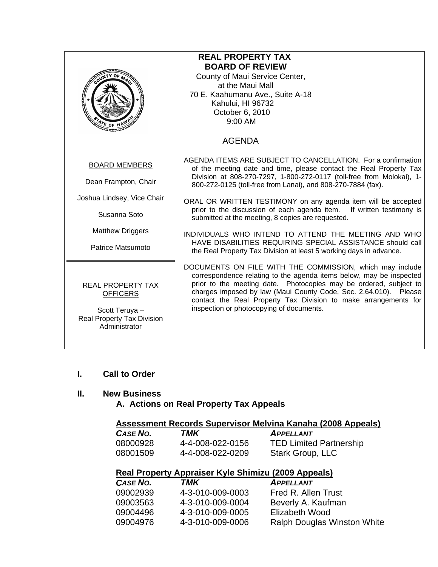| <b>REAL PROPERTY TAX</b><br><b>BOARD OF REVIEW</b><br>County of Maui Service Center,<br>at the Maui Mall<br>70 E. Kaahumanu Ave., Suite A-18<br>Kahului, HI 96732<br>October 6, 2010<br>$9:00$ AM<br>$\frac{1}{2}$ E OF |                                                                                                                                                                                                                                                                                                                                                                                                                                                                                                                                                                                                                                                                       |  |
|-------------------------------------------------------------------------------------------------------------------------------------------------------------------------------------------------------------------------|-----------------------------------------------------------------------------------------------------------------------------------------------------------------------------------------------------------------------------------------------------------------------------------------------------------------------------------------------------------------------------------------------------------------------------------------------------------------------------------------------------------------------------------------------------------------------------------------------------------------------------------------------------------------------|--|
|                                                                                                                                                                                                                         | <b>AGENDA</b>                                                                                                                                                                                                                                                                                                                                                                                                                                                                                                                                                                                                                                                         |  |
| <b>BOARD MEMBERS</b><br>Dean Frampton, Chair<br>Joshua Lindsey, Vice Chair<br>Susanna Soto<br><b>Matthew Driggers</b><br>Patrice Matsumoto                                                                              | AGENDA ITEMS ARE SUBJECT TO CANCELLATION. For a confirmation<br>of the meeting date and time, please contact the Real Property Tax<br>Division at 808-270-7297, 1-800-272-0117 (toll-free from Molokai), 1-<br>800-272-0125 (toll-free from Lanai), and 808-270-7884 (fax).<br>ORAL OR WRITTEN TESTIMONY on any agenda item will be accepted<br>prior to the discussion of each agenda item. If written testimony is<br>submitted at the meeting, 8 copies are requested.<br>INDIVIDUALS WHO INTEND TO ATTEND THE MEETING AND WHO<br>HAVE DISABILITIES REQUIRING SPECIAL ASSISTANCE should call<br>the Real Property Tax Division at least 5 working days in advance. |  |
| REAL PROPERTY TAX<br><b>OFFICERS</b><br>Scott Teruya -<br>Real Property Tax Division<br>Administrator                                                                                                                   | DOCUMENTS ON FILE WITH THE COMMISSION, which may include<br>correspondence relating to the agenda items below, may be inspected<br>prior to the meeting date. Photocopies may be ordered, subject to<br>charges imposed by law (Maui County Code, Sec. 2.64.010). Please<br>contact the Real Property Tax Division to make arrangements for<br>inspection or photocopying of documents.                                                                                                                                                                                                                                                                               |  |

#### **I. Call to Order**

### **II. New Business**

 **A. Actions on Real Property Tax Appeals** 

## **Assessment Records Supervisor Melvina Kanaha (2008 Appeals)**

| <b>CASE NO.</b> | TMK              | <b>APPELLANT</b>               |
|-----------------|------------------|--------------------------------|
| 08000928        | 4-4-008-022-0156 | <b>TED Limited Partnership</b> |
| 08001509        | 4-4-008-022-0209 | Stark Group, LLC               |

# **Real Property Appraiser Kyle Shimizu (2009 Appeals)**

| CASE NO. | TMK              | <b>APPELLANT</b>                   |
|----------|------------------|------------------------------------|
| 09002939 | 4-3-010-009-0003 | Fred R. Allen Trust                |
| 09003563 | 4-3-010-009-0004 | Beverly A. Kaufman                 |
| 09004496 | 4-3-010-009-0005 | Elizabeth Wood                     |
| 09004976 | 4-3-010-009-0006 | <b>Ralph Douglas Winston White</b> |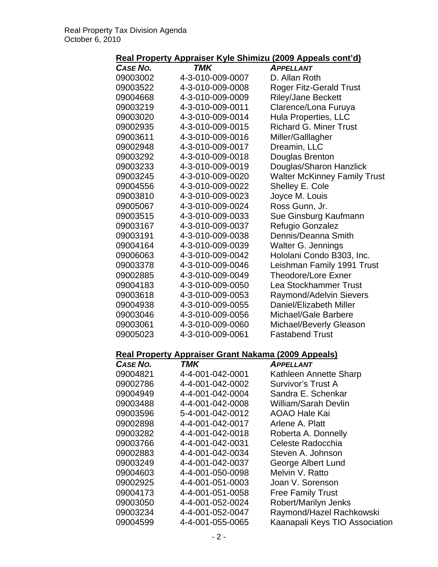## **Real Property Appraiser Kyle Shimizu (2009 Appeals cont'd)**

|                 | <u>kai Floperty Appraiser Kyle Jillinizu (2003 Appeals Cont uj</u> |                                     |
|-----------------|--------------------------------------------------------------------|-------------------------------------|
| <b>CASE NO.</b> | TMK                                                                | <b>APPELLANT</b>                    |
| 09003002        | 4-3-010-009-0007                                                   | D. Allan Roth                       |
| 09003522        | 4-3-010-009-0008                                                   | <b>Roger Fitz-Gerald Trust</b>      |
| 09004668        | 4-3-010-009-0009                                                   | <b>Riley/Jane Beckett</b>           |
| 09003219        | 4-3-010-009-0011                                                   | Clarence/Lona Furuya                |
| 09003020        | 4-3-010-009-0014                                                   | <b>Hula Properties, LLC</b>         |
| 09002935        | 4-3-010-009-0015                                                   | <b>Richard G. Miner Trust</b>       |
| 09003611        | 4-3-010-009-0016                                                   | Miller/Galllagher                   |
| 09002948        | 4-3-010-009-0017                                                   | Dreamin, LLC                        |
| 09003292        | 4-3-010-009-0018                                                   | Douglas Brenton                     |
| 09003233        | 4-3-010-009-0019                                                   | Douglas/Sharon Hanzlick             |
| 09003245        | 4-3-010-009-0020                                                   | <b>Walter McKinney Family Trust</b> |
| 09004556        | 4-3-010-009-0022                                                   | Shelley E. Cole                     |
| 09003810        | 4-3-010-009-0023                                                   | Joyce M. Louis                      |
| 09005067        | 4-3-010-009-0024                                                   | Ross Gunn, Jr.                      |
| 09003515        | 4-3-010-009-0033                                                   | Sue Ginsburg Kaufmann               |
| 09003167        | 4-3-010-009-0037                                                   | Refugio Gonzalez                    |
| 09003191        | 4-3-010-009-0038                                                   | Dennis/Deanna Smith                 |
| 09004164        | 4-3-010-009-0039                                                   | Walter G. Jennings                  |
| 09006063        | 4-3-010-009-0042                                                   | Hololani Condo B303, Inc.           |
| 09003378        | 4-3-010-009-0046                                                   | Leishman Family 1991 Trust          |
| 09002885        | 4-3-010-009-0049                                                   | <b>Theodore/Lore Exner</b>          |
| 09004183        | 4-3-010-009-0050                                                   | Lea Stockhammer Trust               |
| 09003618        | 4-3-010-009-0053                                                   | <b>Raymond/Adelvin Sievers</b>      |
| 09004938        | 4-3-010-009-0055                                                   | Daniel/Elizabeth Miller             |
| 09003046        | 4-3-010-009-0056                                                   | Michael/Gale Barbere                |
| 09003061        | 4-3-010-009-0060                                                   | Michael/Beverly Gleason             |
| 09005023        | 4-3-010-009-0061                                                   | <b>Fastabend Trust</b>              |
|                 | Real Property Appraiser Grant Nakama (2009 Appeals)                |                                     |
| <b>CASE NO.</b> | <b>TMK</b>                                                         | <b>APPELLANT</b>                    |
| 09004821        | 4-4-001-042-0001                                                   | Kathleen Annette Sharp              |
| 09002786        | 4-4-001-042-0002                                                   | <b>Survivor's Trust A</b>           |
| 09004949        | 4-4-001-042-0004                                                   | Sandra E. Schenkar                  |
| 09003488        | 4-4-001-042-0008                                                   | William/Sarah Devlin                |
| 09003596        | 5-4-001-042-0012                                                   | <b>AOAO Hale Kai</b>                |
| 09002898        | 4-4-001-042-0017                                                   | Arlene A. Platt                     |
| 09003282        | 4-4-001-042-0018                                                   | Roberta A. Donnelly                 |
| 09003766        | 4-4-001-042-0031                                                   | Celeste Radocchia                   |
| 09002883        | 4-4-001-042-0034                                                   | Steven A. Johnson                   |
| 09003249        | 4-4-001-042-0037                                                   | George Albert Lund                  |
| 09004603        | 4-4-001-050-0098                                                   | Melvin V. Ratto                     |
| 09002925        | 4-4-001-051-0003                                                   | Joan V. Sorenson                    |
| 09004173        | 4-4-001-051-0058                                                   | <b>Free Family Trust</b>            |
| 09003050        | 4-4-001-052-0024                                                   | Robert/Marilyn Jenks                |

09003234 4-4-001-052-0047 Raymond/Hazel Rachkowski<br>09004599 4-4-001-055-0065 Kaanapali Keys TIO Associati 09004599 4-4-001-055-0065 Kaanapali Keys TIO Association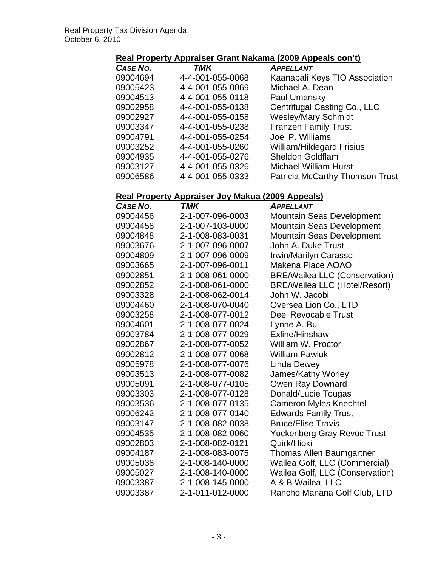## **Real Property Appraiser Grant Nakama (2009 Appeals con't)**

| CASE NO. | <b>TMK</b>       | <b>APPELLANT</b>                 |
|----------|------------------|----------------------------------|
| 09004694 | 4-4-001-055-0068 | Kaanapali Keys TIO Association   |
| 09005423 | 4-4-001-055-0069 | Michael A. Dean                  |
| 09004513 | 4-4-001-055-0118 | Paul Umansky                     |
| 09002958 | 4-4-001-055-0138 | Centrifugal Casting Co., LLC     |
| 09002927 | 4-4-001-055-0158 | <b>Wesley/Mary Schmidt</b>       |
| 09003347 | 4-4-001-055-0238 | <b>Franzen Family Trust</b>      |
| 09004791 | 4-4-001-055-0254 | Joel P. Williams                 |
| 09003252 | 4-4-001-055-0260 | <b>William/Hildegard Frisius</b> |
| 09004935 | 4-4-001-055-0276 | <b>Sheldon Goldflam</b>          |
| 09003127 | 4-4-001-055-0326 | <b>Michael William Hurst</b>     |
| 09006586 | 4-4-001-055-0333 | Patricia McCarthy Thomson Trust  |

# **Real Property Appraiser Joy Makua (2009 Appeals)**

| <b>CASE NO.</b> | TMK              | <b>APPELLANT</b>                     |
|-----------------|------------------|--------------------------------------|
| 09004456        | 2-1-007-096-0003 | Mountain Seas Development            |
| 09004458        | 2-1-007-103-0000 | Mountain Seas Development            |
| 09004848        | 2-1-008-083-0031 | Mountain Seas Development            |
| 09003676        | 2-1-007-096-0007 | John A. Duke Trust                   |
| 09004809        | 2-1-007-096-0009 | Irwin/Marilyn Carasso                |
| 09003665        | 2-1-007-096-0011 | Makena Place AOAO                    |
| 09002851        | 2-1-008-061-0000 | <b>BRE/Wailea LLC (Conservation)</b> |
| 09002852        | 2-1-008-061-0000 | <b>BRE/Wailea LLC (Hotel/Resort)</b> |
| 09003328        | 2-1-008-062-0014 | John W. Jacobi                       |
| 09004460        | 2-1-008-070-0040 | Oversea Lion Co., LTD                |
| 09003258        | 2-1-008-077-0012 | Deel Revocable Trust                 |
| 09004601        | 2-1-008-077-0024 | Lynne A. Bui                         |
| 09003784        | 2-1-008-077-0029 | Exline/Hinshaw                       |
| 09002867        | 2-1-008-077-0052 | William W. Proctor                   |
| 09002812        | 2-1-008-077-0068 | <b>William Pawluk</b>                |
| 09005978        | 2-1-008-077-0076 | <b>Linda Dewey</b>                   |
| 09003513        | 2-1-008-077-0082 | James/Kathy Worley                   |
| 09005091        | 2-1-008-077-0105 | Owen Ray Downard                     |
| 09003303        | 2-1-008-077-0128 | Donald/Lucie Tougas                  |
| 09003536        | 2-1-008-077-0135 | <b>Cameron Myles Knechtel</b>        |
| 09006242        | 2-1-008-077-0140 | <b>Edwards Family Trust</b>          |
| 09003147        | 2-1-008-082-0038 | <b>Bruce/Elise Travis</b>            |
| 09004535        | 2-1-008-082-0060 | <b>Yuckenberg Gray Revoc Trust</b>   |
| 09002803        | 2-1-008-082-0121 | Quirk/Hioki                          |
| 09004187        | 2-1-008-083-0075 | <b>Thomas Allen Baumgartner</b>      |
| 09005038        | 2-1-008-140-0000 | Wailea Golf, LLC (Commercial)        |
| 09005027        | 2-1-008-140-0000 | Wailea Golf, LLC (Conservation)      |
| 09003387        | 2-1-008-145-0000 | A & B Wailea, LLC                    |
| 09003387        | 2-1-011-012-0000 | Rancho Manana Golf Club, LTD         |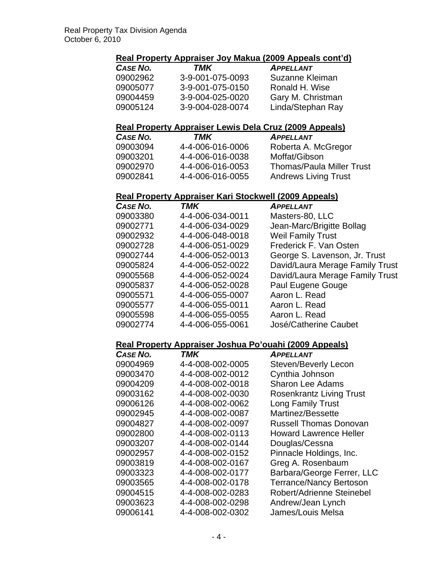## **Real Property Appraiser Joy Makua (2009 Appeals cont'd)**

| CASE NO. | TMK              | <b>APPELLANT</b>  |
|----------|------------------|-------------------|
| 09002962 | 3-9-001-075-0093 | Suzanne Kleiman   |
| 09005077 | 3-9-001-075-0150 | Ronald H. Wise    |
| 09004459 | 3-9-004-025-0020 | Gary M. Christman |
| 09005124 | 3-9-004-028-0074 | Linda/Stephan Ray |

#### **Real Property Appraiser Lewis Dela Cruz (2009 Appeals)**

| CASE NO. | TMK              | <b>APPELLANT</b>                 |
|----------|------------------|----------------------------------|
| 09003094 | 4-4-006-016-0006 | Roberta A. McGregor              |
| 09003201 | 4-4-006-016-0038 | Moffat/Gibson                    |
| 09002970 | 4-4-006-016-0053 | <b>Thomas/Paula Miller Trust</b> |
| 09002841 | 4-4-006-016-0055 | <b>Andrews Living Trust</b>      |

### **Real Property Appraiser Kari Stockwell (2009 Appeals)**

| CASE NO. | <b>TMK</b>       | <b>APPELLANT</b>                |
|----------|------------------|---------------------------------|
| 09003380 | 4-4-006-034-0011 | Masters-80, LLC                 |
| 09002771 | 4-4-006-034-0029 | Jean-Marc/Brigitte Bollag       |
| 09002932 | 4-4-006-048-0018 | <b>Weil Family Trust</b>        |
| 09002728 | 4-4-006-051-0029 | Frederick F. Van Osten          |
| 09002744 | 4-4-006-052-0013 | George S. Lavenson, Jr. Trust   |
| 09005824 | 4-4-006-052-0022 | David/Laura Merage Family Trust |
| 09005568 | 4-4-006-052-0024 | David/Laura Merage Family Trust |
| 09005837 | 4-4-006-052-0028 | Paul Eugene Gouge               |
| 09005571 | 4-4-006-055-0007 | Aaron L. Read                   |
| 09005577 | 4-4-006-055-0011 | Aaron L. Read                   |
| 09005598 | 4-4-006-055-0055 | Aaron L. Read                   |
| 09002774 | 4-4-006-055-0061 | José/Catherine Caubet           |

## **Real Property Appraiser Joshua Po'ouahi (2009 Appeals)**

| <b>CASE NO.</b> | TMK              | APPELLANT                       |
|-----------------|------------------|---------------------------------|
| 09004969        | 4-4-008-002-0005 | <b>Steven/Beverly Lecon</b>     |
| 09003470        | 4-4-008-002-0012 | Cynthia Johnson                 |
| 09004209        | 4-4-008-002-0018 | <b>Sharon Lee Adams</b>         |
| 09003162        | 4-4-008-002-0030 | <b>Rosenkrantz Living Trust</b> |
| 09006126        | 4-4-008-002-0062 | <b>Long Family Trust</b>        |
| 09002945        | 4-4-008-002-0087 | Martinez/Bessette               |
| 09004827        | 4-4-008-002-0097 | <b>Russell Thomas Donovan</b>   |
| 09002800        | 4-4-008-002-0113 | <b>Howard Lawrence Heller</b>   |
| 09003207        | 4-4-008-002-0144 | Douglas/Cessna                  |
| 09002957        | 4-4-008-002-0152 | Pinnacle Holdings, Inc.         |
| 09003819        | 4-4-008-002-0167 | Greg A. Rosenbaum               |
| 09003323        | 4-4-008-002-0177 | Barbara/George Ferrer, LLC      |
| 09003565        | 4-4-008-002-0178 | <b>Terrance/Nancy Bertoson</b>  |
| 09004515        | 4-4-008-002-0283 | Robert/Adrienne Steinebel       |
| 09003623        | 4-4-008-002-0298 | Andrew/Jean Lynch               |
| 09006141        | 4-4-008-002-0302 | James/Louis Melsa               |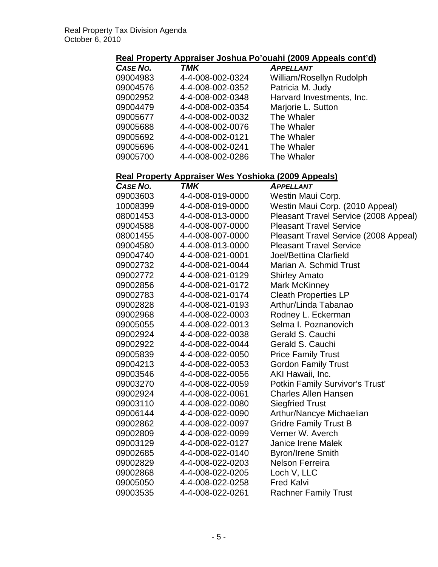# **Real Property Appraiser Joshua Po'ouahi (2009 Appeals cont'd)**

| CASE NO. | <b>TMK</b>       | <b>APPELLANT</b>          |
|----------|------------------|---------------------------|
| 09004983 | 4-4-008-002-0324 | William/Rosellyn Rudolph  |
| 09004576 | 4-4-008-002-0352 | Patricia M. Judy          |
| 09002952 | 4-4-008-002-0348 | Harvard Investments, Inc. |
| 09004479 | 4-4-008-002-0354 | Marjorie L. Sutton        |
| 09005677 | 4-4-008-002-0032 | The Whaler                |
| 09005688 | 4-4-008-002-0076 | The Whaler                |
| 09005692 | 4-4-008-002-0121 | The Whaler                |
| 09005696 | 4-4-008-002-0241 | The Whaler                |
| 09005700 | 4-4-008-002-0286 | The Whaler                |

# **Real Property Appraiser Wes Yoshioka (2009 Appeals)**

| . <u>.</u> | represented reditional Legal ippears |                                       |
|------------|--------------------------------------|---------------------------------------|
| CASE NO.   | TMK                                  | <b>APPELLANT</b>                      |
| 09003603   | 4-4-008-019-0000                     | Westin Maui Corp.                     |
| 10008399   | 4-4-008-019-0000                     | Westin Maui Corp. (2010 Appeal)       |
| 08001453   | 4-4-008-013-0000                     | Pleasant Travel Service (2008 Appeal) |
| 09004588   | 4-4-008-007-0000                     | <b>Pleasant Travel Service</b>        |
| 08001455   | 4-4-008-007-0000                     | Pleasant Travel Service (2008 Appeal) |
| 09004580   | 4-4-008-013-0000                     | <b>Pleasant Travel Service</b>        |
| 09004740   | 4-4-008-021-0001                     | <b>Joel/Bettina Clarfield</b>         |
| 09002732   | 4-4-008-021-0044                     | Marian A. Schmid Trust                |
| 09002772   | 4-4-008-021-0129                     | <b>Shirley Amato</b>                  |
| 09002856   | 4-4-008-021-0172                     | <b>Mark McKinney</b>                  |
| 09002783   | 4-4-008-021-0174                     | <b>Cleath Properties LP</b>           |
| 09002828   | 4-4-008-021-0193                     | Arthur/Linda Tabanao                  |
| 09002968   | 4-4-008-022-0003                     | Rodney L. Eckerman                    |
| 09005055   | 4-4-008-022-0013                     | Selma I. Poznanovich                  |
| 09002924   | 4-4-008-022-0038                     | Gerald S. Cauchi                      |
| 09002922   | 4-4-008-022-0044                     | Gerald S. Cauchi                      |
| 09005839   | 4-4-008-022-0050                     | <b>Price Family Trust</b>             |
| 09004213   | 4-4-008-022-0053                     | <b>Gordon Family Trust</b>            |
| 09003546   | 4-4-008-022-0056                     | AKI Hawaii, Inc.                      |
| 09003270   | 4-4-008-022-0059                     | Potkin Family Survivor's Trust'       |
| 09002924   | 4-4-008-022-0061                     | <b>Charles Allen Hansen</b>           |
| 09003110   | 4-4-008-022-0080                     | <b>Siegfried Trust</b>                |
| 09006144   | 4-4-008-022-0090                     | Arthur/Nancye Michaelian              |
| 09002862   | 4-4-008-022-0097                     | <b>Gridre Family Trust B</b>          |
| 09002809   | 4-4-008-022-0099                     | Verner W. Averch                      |
| 09003129   | 4-4-008-022-0127                     | <b>Janice Irene Malek</b>             |
| 09002685   | 4-4-008-022-0140                     | <b>Byron/Irene Smith</b>              |
| 09002829   | 4-4-008-022-0203                     | <b>Nelson Ferreira</b>                |
| 09002868   | 4-4-008-022-0205                     | Loch V, LLC                           |
| 09005050   | 4-4-008-022-0258                     | <b>Fred Kalvi</b>                     |
| 09003535   | 4-4-008-022-0261                     | <b>Rachner Family Trust</b>           |